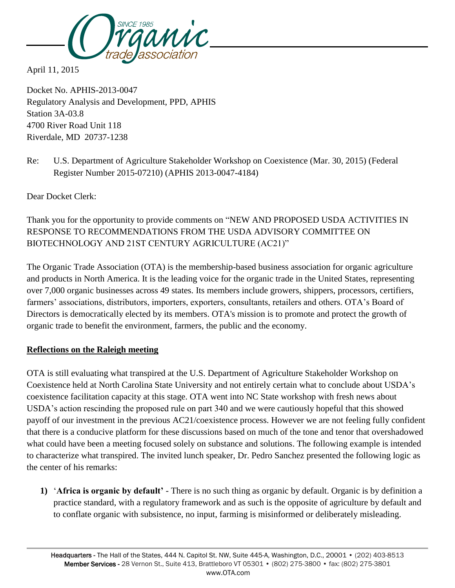

April 11, 2015

Docket No. APHIS-2013-0047 Regulatory Analysis and Development, PPD, APHIS Station 3A-03.8 4700 River Road Unit 118 Riverdale, MD 20737-1238

Re: U.S. Department of Agriculture Stakeholder Workshop on Coexistence (Mar. 30, 2015) (Federal Register Number 2015-07210) (APHIS 2013-0047-4184)

Dear Docket Clerk:

Thank you for the opportunity to provide comments on "NEW AND PROPOSED USDA ACTIVITIES IN RESPONSE TO RECOMMENDATIONS FROM THE USDA ADVISORY COMMITTEE ON BIOTECHNOLOGY AND 21ST CENTURY AGRICULTURE (AC21)"

The Organic Trade Association (OTA) is the membership-based business association for organic agriculture and products in North America. It is the leading voice for the organic trade in the United States, representing over 7,000 organic businesses across 49 states. Its members include growers, shippers, processors, certifiers, farmers' associations, distributors, importers, exporters, consultants, retailers and others. OTA's Board of Directors is democratically elected by its members. OTA's mission is to promote and protect the growth of organic trade to benefit the environment, farmers, the public and the economy.

## **Reflections on the Raleigh meeting**

OTA is still evaluating what transpired at the U.S. Department of Agriculture Stakeholder Workshop on Coexistence held at North Carolina State University and not entirely certain what to conclude about USDA's coexistence facilitation capacity at this stage. OTA went into NC State workshop with fresh news about USDA's action rescinding the proposed rule on part 340 and we were cautiously hopeful that this showed payoff of our investment in the previous AC21/coexistence process. However we are not feeling fully confident that there is a conducive platform for these discussions based on much of the tone and tenor that overshadowed what could have been a meeting focused solely on substance and solutions. The following example is intended to characterize what transpired. The invited lunch speaker, Dr. Pedro Sanchez presented the following logic as the center of his remarks:

**1)** '**Africa is organic by default'** - There is no such thing as organic by default. Organic is by definition a practice standard, with a regulatory framework and as such is the opposite of agriculture by default and to conflate organic with subsistence, no input, farming is misinformed or deliberately misleading.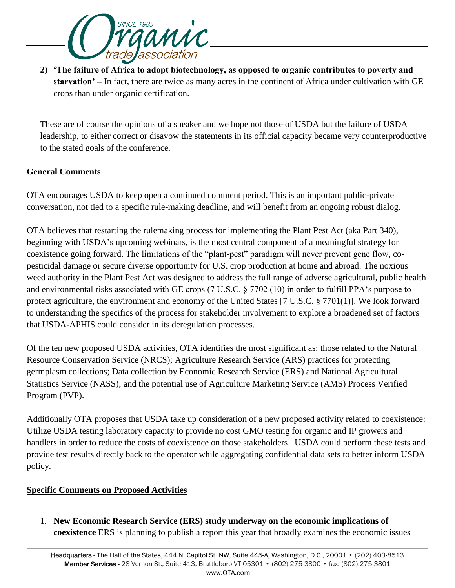

**2) 'The failure of Africa to adopt biotechnology, as opposed to organic contributes to poverty and starvation' –** In fact, there are twice as many acres in the continent of Africa under cultivation with GE crops than under organic certification.

These are of course the opinions of a speaker and we hope not those of USDA but the failure of USDA leadership, to either correct or disavow the statements in its official capacity became very counterproductive to the stated goals of the conference.

## **General Comments**

OTA encourages USDA to keep open a continued comment period. This is an important public-private conversation, not tied to a specific rule-making deadline, and will benefit from an ongoing robust dialog.

OTA believes that restarting the rulemaking process for implementing the Plant Pest Act (aka Part 340), beginning with USDA's upcoming webinars, is the most central component of a meaningful strategy for coexistence going forward. The limitations of the "plant-pest" paradigm will never prevent gene flow, copesticidal damage or secure diverse opportunity for U.S. crop production at home and abroad. The noxious weed authority in the Plant Pest Act was designed to address the full range of adverse agricultural, public health and environmental risks associated with GE crops (7 U.S.C. § 7702 (10) in order to fulfill PPA's purpose to protect agriculture, the environment and economy of the United States [7 U.S.C. § 7701(1)]. We look forward to understanding the specifics of the process for stakeholder involvement to explore a broadened set of factors that USDA-APHIS could consider in its deregulation processes.

Of the ten new proposed USDA activities, OTA identifies the most significant as: those related to the Natural Resource Conservation Service (NRCS); Agriculture Research Service (ARS) practices for protecting germplasm collections; Data collection by Economic Research Service (ERS) and National Agricultural Statistics Service (NASS); and the potential use of Agriculture Marketing Service (AMS) Process Verified Program (PVP).

Additionally OTA proposes that USDA take up consideration of a new proposed activity related to coexistence: Utilize USDA testing laboratory capacity to provide no cost GMO testing for organic and IP growers and handlers in order to reduce the costs of coexistence on those stakeholders. USDA could perform these tests and provide test results directly back to the operator while aggregating confidential data sets to better inform USDA policy.

## **Specific Comments on Proposed Activities**

1. **New Economic Research Service (ERS) study underway on the economic implications of coexistence** ERS is planning to publish a report this year that broadly examines the economic issues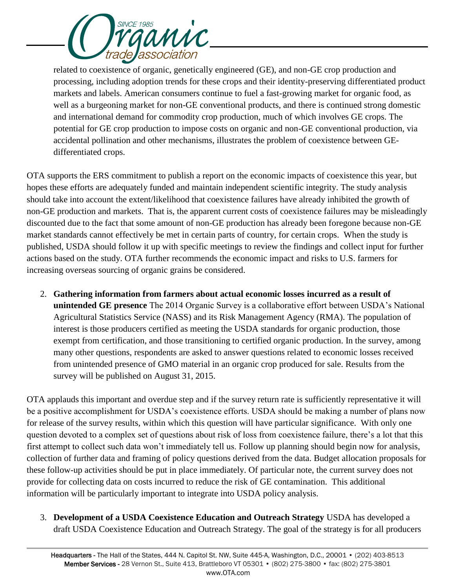

related to coexistence of organic, genetically engineered (GE), and non-GE crop production and processing, including adoption trends for these crops and their identity-preserving differentiated product markets and labels. American consumers continue to fuel a fast-growing market for organic food, as well as a burgeoning market for non-GE conventional products, and there is continued strong domestic and international demand for commodity crop production, much of which involves GE crops. The potential for GE crop production to impose costs on organic and non-GE conventional production, via accidental pollination and other mechanisms, illustrates the problem of coexistence between GEdifferentiated crops.

OTA supports the ERS commitment to publish a report on the economic impacts of coexistence this year, but hopes these efforts are adequately funded and maintain independent scientific integrity. The study analysis should take into account the extent/likelihood that coexistence failures have already inhibited the growth of non-GE production and markets. That is, the apparent current costs of coexistence failures may be misleadingly discounted due to the fact that some amount of non-GE production has already been foregone because non-GE market standards cannot effectively be met in certain parts of country, for certain crops. When the study is published, USDA should follow it up with specific meetings to review the findings and collect input for further actions based on the study. OTA further recommends the economic impact and risks to U.S. farmers for increasing overseas sourcing of organic grains be considered.

2. **Gathering information from farmers about actual economic losses incurred as a result of unintended GE presence** The 2014 Organic Survey is a collaborative effort between USDA's National Agricultural Statistics Service (NASS) and its Risk Management Agency (RMA). The population of interest is those producers certified as meeting the USDA standards for organic production, those exempt from certification, and those transitioning to certified organic production. In the survey, among many other questions, respondents are asked to answer questions related to economic losses received from unintended presence of GMO material in an organic crop produced for sale. Results from the survey will be published on August 31, 2015.

OTA applauds this important and overdue step and if the survey return rate is sufficiently representative it will be a positive accomplishment for USDA's coexistence efforts. USDA should be making a number of plans now for release of the survey results, within which this question will have particular significance. With only one question devoted to a complex set of questions about risk of loss from coexistence failure, there's a lot that this first attempt to collect such data won't immediately tell us. Follow up planning should begin now for analysis, collection of further data and framing of policy questions derived from the data. Budget allocation proposals for these follow-up activities should be put in place immediately. Of particular note, the current survey does not provide for collecting data on costs incurred to reduce the risk of GE contamination. This additional information will be particularly important to integrate into USDA policy analysis.

3. **Development of a USDA Coexistence Education and Outreach Strategy** USDA has developed a draft USDA Coexistence Education and Outreach Strategy. The goal of the strategy is for all producers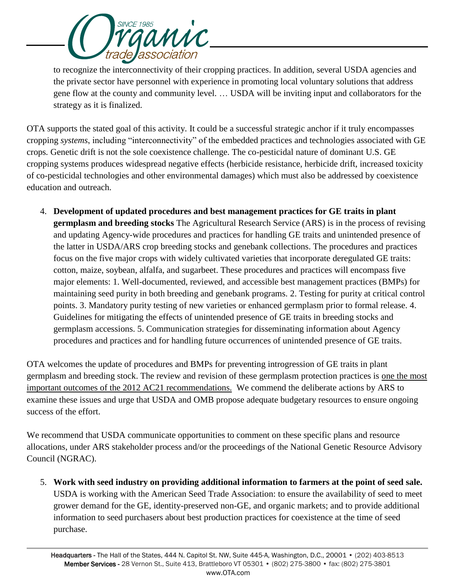

to recognize the interconnectivity of their cropping practices. In addition, several USDA agencies and the private sector have personnel with experience in promoting local voluntary solutions that address gene flow at the county and community level. … USDA will be inviting input and collaborators for the strategy as it is finalized.

OTA supports the stated goal of this activity. It could be a successful strategic anchor if it truly encompasses cropping *systems*, including "interconnectivity" of the embedded practices and technologies associated with GE crops*.* Genetic drift is not the sole coexistence challenge. The co-pesticidal nature of dominant U.S. GE cropping systems produces widespread negative effects (herbicide resistance, herbicide drift, increased toxicity of co-pesticidal technologies and other environmental damages) which must also be addressed by coexistence education and outreach.

4. **Development of updated procedures and best management practices for GE traits in plant germplasm and breeding stocks** The Agricultural Research Service (ARS) is in the process of revising and updating Agency-wide procedures and practices for handling GE traits and unintended presence of the latter in USDA/ARS crop breeding stocks and genebank collections. The procedures and practices focus on the five major crops with widely cultivated varieties that incorporate deregulated GE traits: cotton, maize, soybean, alfalfa, and sugarbeet. These procedures and practices will encompass five major elements: 1. Well-documented, reviewed, and accessible best management practices (BMPs) for maintaining seed purity in both breeding and genebank programs. 2. Testing for purity at critical control points. 3. Mandatory purity testing of new varieties or enhanced germplasm prior to formal release. 4. Guidelines for mitigating the effects of unintended presence of GE traits in breeding stocks and germplasm accessions. 5. Communication strategies for disseminating information about Agency procedures and practices and for handling future occurrences of unintended presence of GE traits.

OTA welcomes the update of procedures and BMPs for preventing introgression of GE traits in plant germplasm and breeding stock. The review and revision of these germplasm protection practices is one the most important outcomes of the 2012 AC21 recommendations. We commend the deliberate actions by ARS to examine these issues and urge that USDA and OMB propose adequate budgetary resources to ensure ongoing success of the effort.

We recommend that USDA communicate opportunities to comment on these specific plans and resource allocations, under ARS stakeholder process and/or the proceedings of the National Genetic Resource Advisory Council (NGRAC).

5. **Work with seed industry on providing additional information to farmers at the point of seed sale.**  USDA is working with the American Seed Trade Association: to ensure the availability of seed to meet grower demand for the GE, identity-preserved non-GE, and organic markets; and to provide additional information to seed purchasers about best production practices for coexistence at the time of seed purchase.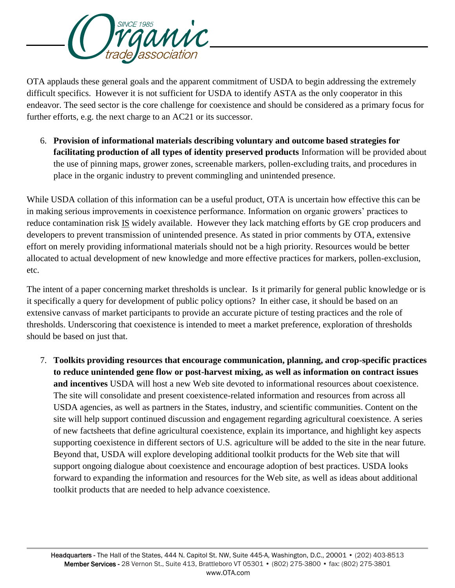

OTA applauds these general goals and the apparent commitment of USDA to begin addressing the extremely difficult specifics. However it is not sufficient for USDA to identify ASTA as the only cooperator in this endeavor. The seed sector is the core challenge for coexistence and should be considered as a primary focus for further efforts, e.g. the next charge to an AC21 or its successor.

6. **Provision of informational materials describing voluntary and outcome based strategies for facilitating production of all types of identity preserved products** Information will be provided about the use of pinning maps, grower zones, screenable markers, pollen-excluding traits, and procedures in place in the organic industry to prevent commingling and unintended presence.

While USDA collation of this information can be a useful product, OTA is uncertain how effective this can be in making serious improvements in coexistence performance. Information on organic growers' practices to reduce contamination risk IS widely available. However they lack matching efforts by GE crop producers and developers to prevent transmission of unintended presence. As stated in prior comments by OTA, extensive effort on merely providing informational materials should not be a high priority. Resources would be better allocated to actual development of new knowledge and more effective practices for markers, pollen-exclusion, etc.

The intent of a paper concerning market thresholds is unclear. Is it primarily for general public knowledge or is it specifically a query for development of public policy options? In either case, it should be based on an extensive canvass of market participants to provide an accurate picture of testing practices and the role of thresholds. Underscoring that coexistence is intended to meet a market preference, exploration of thresholds should be based on just that.

7. **Toolkits providing resources that encourage communication, planning, and crop-specific practices to reduce unintended gene flow or post-harvest mixing, as well as information on contract issues and incentives** USDA will host a new Web site devoted to informational resources about coexistence. The site will consolidate and present coexistence-related information and resources from across all USDA agencies, as well as partners in the States, industry, and scientific communities. Content on the site will help support continued discussion and engagement regarding agricultural coexistence. A series of new factsheets that define agricultural coexistence, explain its importance, and highlight key aspects supporting coexistence in different sectors of U.S. agriculture will be added to the site in the near future. Beyond that, USDA will explore developing additional toolkit products for the Web site that will support ongoing dialogue about coexistence and encourage adoption of best practices. USDA looks forward to expanding the information and resources for the Web site, as well as ideas about additional toolkit products that are needed to help advance coexistence.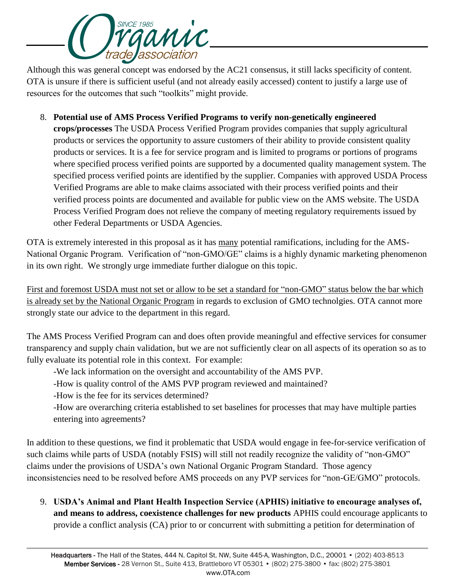

Although this was general concept was endorsed by the AC21 consensus, it still lacks specificity of content. OTA is unsure if there is sufficient useful (and not already easily accessed) content to justify a large use of resources for the outcomes that such "toolkits" might provide.

8. **Potential use of AMS Process Verified Programs to verify non-genetically engineered crops/processes** The USDA Process Verified Program provides companies that supply agricultural products or services the opportunity to assure customers of their ability to provide consistent quality products or services. It is a fee for service program and is limited to programs or portions of programs where specified process verified points are supported by a documented quality management system. The specified process verified points are identified by the supplier. Companies with approved USDA Process Verified Programs are able to make claims associated with their process verified points and their verified process points are documented and available for public view on the AMS website. The USDA Process Verified Program does not relieve the company of meeting regulatory requirements issued by other Federal Departments or USDA Agencies.

OTA is extremely interested in this proposal as it has many potential ramifications, including for the AMS-National Organic Program. Verification of "non-GMO/GE" claims is a highly dynamic marketing phenomenon in its own right. We strongly urge immediate further dialogue on this topic.

First and foremost USDA must not set or allow to be set a standard for "non-GMO" status below the bar which is already set by the National Organic Program in regards to exclusion of GMO technolgies. OTA cannot more strongly state our advice to the department in this regard.

The AMS Process Verified Program can and does often provide meaningful and effective services for consumer transparency and supply chain validation, but we are not sufficiently clear on all aspects of its operation so as to fully evaluate its potential role in this context. For example:

- -We lack information on the oversight and accountability of the AMS PVP.
- -How is quality control of the AMS PVP program reviewed and maintained?
- -How is the fee for its services determined?

-How are overarching criteria established to set baselines for processes that may have multiple parties entering into agreements?

In addition to these questions, we find it problematic that USDA would engage in fee-for-service verification of such claims while parts of USDA (notably FSIS) will still not readily recognize the validity of "non-GMO" claims under the provisions of USDA's own National Organic Program Standard. Those agency inconsistencies need to be resolved before AMS proceeds on any PVP services for "non-GE/GMO" protocols.

9. **USDA's Animal and Plant Health Inspection Service (APHIS) initiative to encourage analyses of, and means to address, coexistence challenges for new products** APHIS could encourage applicants to provide a conflict analysis (CA) prior to or concurrent with submitting a petition for determination of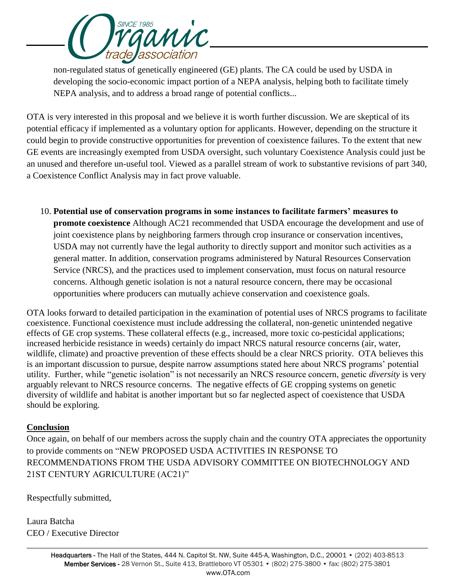

non-regulated status of genetically engineered (GE) plants. The CA could be used by USDA in developing the socio-economic impact portion of a NEPA analysis, helping both to facilitate timely NEPA analysis, and to address a broad range of potential conflicts...

OTA is very interested in this proposal and we believe it is worth further discussion. We are skeptical of its potential efficacy if implemented as a voluntary option for applicants. However, depending on the structure it could begin to provide constructive opportunities for prevention of coexistence failures. To the extent that new GE events are increasingly exempted from USDA oversight, such voluntary Coexistence Analysis could just be an unused and therefore un-useful tool. Viewed as a parallel stream of work to substantive revisions of part 340, a Coexistence Conflict Analysis may in fact prove valuable.

10. **Potential use of conservation programs in some instances to facilitate farmers' measures to promote coexistence** Although AC21 recommended that USDA encourage the development and use of joint coexistence plans by neighboring farmers through crop insurance or conservation incentives, USDA may not currently have the legal authority to directly support and monitor such activities as a general matter. In addition, conservation programs administered by Natural Resources Conservation Service (NRCS), and the practices used to implement conservation, must focus on natural resource concerns. Although genetic isolation is not a natural resource concern, there may be occasional opportunities where producers can mutually achieve conservation and coexistence goals.

OTA looks forward to detailed participation in the examination of potential uses of NRCS programs to facilitate coexistence. Functional coexistence must include addressing the collateral, non-genetic unintended negative effects of GE crop systems. These collateral effects (e.g., increased, more toxic co-pesticidal applications; increased herbicide resistance in weeds) certainly do impact NRCS natural resource concerns (air, water, wildlife, climate) and proactive prevention of these effects should be a clear NRCS priority. OTA believes this is an important discussion to pursue, despite narrow assumptions stated here about NRCS programs' potential utility. Further, while "genetic isolation" is not necessarily an NRCS resource concern, genetic *diversity* is very arguably relevant to NRCS resource concerns. The negative effects of GE cropping systems on genetic diversity of wildlife and habitat is another important but so far neglected aspect of coexistence that USDA should be exploring.

## **Conclusion**

Once again, on behalf of our members across the supply chain and the country OTA appreciates the opportunity to provide comments on "NEW PROPOSED USDA ACTIVITIES IN RESPONSE TO RECOMMENDATIONS FROM THE USDA ADVISORY COMMITTEE ON BIOTECHNOLOGY AND 21ST CENTURY AGRICULTURE (AC21)"

Respectfully submitted,

Laura Batcha CEO / Executive Director